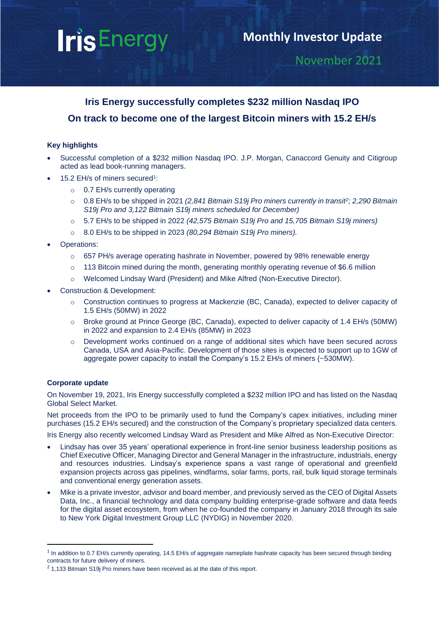# **IrisEnergy**

# November 2021

# **Iris Energy successfully completes \$232 million Nasdaq IPO On track to become one of the largest Bitcoin miners with 15.2 EH/s**

# **Key highlights**

- Successful completion of a \$232 million Nasdaq IPO. J.P. Morgan, Canaccord Genuity and Citigroup acted as lead book-running managers.
- 15.2 EH/s of miners secured<sup>1</sup>:
	- o 0.7 EH/s currently operating
	- o 0.8 EH/s to be shipped in 2021 *(2,841 Bitmain S19j Pro miners currently in transit<sup>2</sup> ; 2,290 Bitmain S19j Pro and 3,122 Bitmain S19j miners scheduled for December)*
	- o 5.7 EH/s to be shipped in 2022 *(42,575 Bitmain S19j Pro and 15,705 Bitmain S19j miners)*
	- o 8.0 EH/s to be shipped in 2023 *(80,294 Bitmain S19j Pro miners).*
- Operations:
	- $\circ$  657 PH/s average operating hashrate in November, powered by 98% renewable energy
	- o 113 Bitcoin mined during the month, generating monthly operating revenue of \$6.6 million
	- o Welcomed Lindsay Ward (President) and Mike Alfred (Non-Executive Director).
- Construction & Development:
	- o Construction continues to progress at Mackenzie (BC, Canada), expected to deliver capacity of 1.5 EH/s (50MW) in 2022
	- o Broke ground at Prince George (BC, Canada), expected to deliver capacity of 1.4 EH/s (50MW) in 2022 and expansion to 2.4 EH/s (85MW) in 2023
	- o Development works continued on a range of additional sites which have been secured across Canada, USA and Asia-Pacific. Development of those sites is expected to support up to 1GW of aggregate power capacity to install the Company's 15.2 EH/s of miners (~530MW).

# **Corporate update**

On November 19, 2021, Iris Energy successfully completed a \$232 million IPO and has listed on the Nasdaq Global Select Market.

Net proceeds from the IPO to be primarily used to fund the Company's capex initiatives, including miner purchases (15.2 EH/s secured) and the construction of the Company's proprietary specialized data centers.

Iris Energy also recently welcomed Lindsay Ward as President and Mike Alfred as Non-Executive Director:

- Lindsay has over 35 years' operational experience in front-line senior business leadership positions as Chief Executive Officer, Managing Director and General Manager in the infrastructure, industrials, energy and resources industries. Lindsay's experience spans a vast range of operational and greenfield expansion projects across gas pipelines, windfarms, solar farms, ports, rail, bulk liquid storage terminals and conventional energy generation assets.
- Mike is a private investor, advisor and board member, and previously served as the CEO of Digital Assets Data, Inc., a financial technology and data company building enterprise-grade software and data feeds for the digital asset ecosystem, from when he co-founded the company in January 2018 through its sale to New York Digital Investment Group LLC (NYDIG) in November 2020.

 $1$  In addition to 0.7 EH/s currently operating, 14.5 EH/s of aggregate nameplate hashrate capacity has been secured through binding contracts for future delivery of miners.

 $2$  1,133 Bitmain S19j Pro miners have been received as at the date of this report.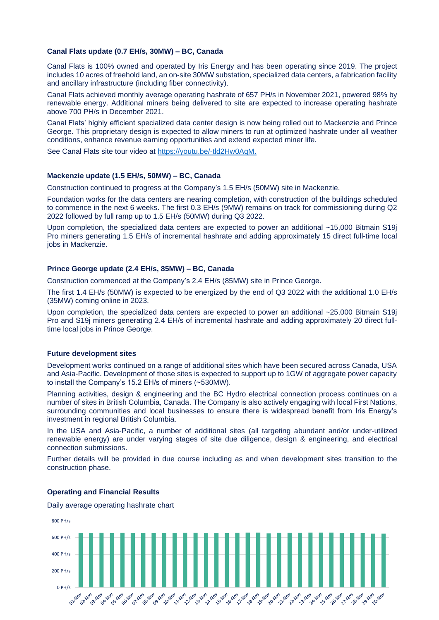# **Canal Flats update (0.7 EH/s, 30MW) – BC, Canada**

Canal Flats is 100% owned and operated by Iris Energy and has been operating since 2019. The project includes 10 acres of freehold land, an on-site 30MW substation, specialized data centers, a fabrication facility and ancillary infrastructure (including fiber connectivity).

Canal Flats achieved monthly average operating hashrate of 657 PH/s in November 2021, powered 98% by renewable energy. Additional miners being delivered to site are expected to increase operating hashrate above 700 PH/s in December 2021.

Canal Flats' highly efficient specialized data center design is now being rolled out to Mackenzie and Prince George. This proprietary design is expected to allow miners to run at optimized hashrate under all weather conditions, enhance revenue earning opportunities and extend expected miner life.

See Canal Flats site tour video at [https://youtu.be/-tld2Hw0AqM.](https://youtu.be/-tld2Hw0AqM)

## **Mackenzie update (1.5 EH/s, 50MW) – BC, Canada**

Construction continued to progress at the Company's 1.5 EH/s (50MW) site in Mackenzie.

Foundation works for the data centers are nearing completion, with construction of the buildings scheduled to commence in the next 6 weeks. The first 0.3 EH/s (9MW) remains on track for commissioning during Q2 2022 followed by full ramp up to 1.5 EH/s (50MW) during Q3 2022.

Upon completion, the specialized data centers are expected to power an additional ~15,000 Bitmain S19j Pro miners generating 1.5 EH/s of incremental hashrate and adding approximately 15 direct full-time local jobs in Mackenzie.

# **Prince George update (2.4 EH/s, 85MW) – BC, Canada**

Construction commenced at the Company's 2.4 EH/s (85MW) site in Prince George.

The first 1.4 EH/s (50MW) is expected to be energized by the end of Q3 2022 with the additional 1.0 EH/s (35MW) coming online in 2023.

Upon completion, the specialized data centers are expected to power an additional ~25,000 Bitmain S19j Pro and S19j miners generating 2.4 EH/s of incremental hashrate and adding approximately 20 direct fulltime local jobs in Prince George.

#### **Future development sites**

Development works continued on a range of additional sites which have been secured across Canada, USA and Asia-Pacific. Development of those sites is expected to support up to 1GW of aggregate power capacity to install the Company's 15.2 EH/s of miners (~530MW).

Planning activities, design & engineering and the BC Hydro electrical connection process continues on a number of sites in British Columbia, Canada. The Company is also actively engaging with local First Nations, surrounding communities and local businesses to ensure there is widespread benefit from Iris Energy's investment in regional British Columbia.

In the USA and Asia-Pacific, a number of additional sites (all targeting abundant and/or under-utilized renewable energy) are under varying stages of site due diligence, design & engineering, and electrical connection submissions.

Further details will be provided in due course including as and when development sites transition to the construction phase.

# 800 PH/s600 PH/s 400 PH/s 200 PH/s  $0.0 + 16$ 07/ 404 2AxNov **DU HOV Parkloy Avoy CAVO** 11 Aloy Alo

### **Operating and Financial Results**

Daily average operating hashrate chart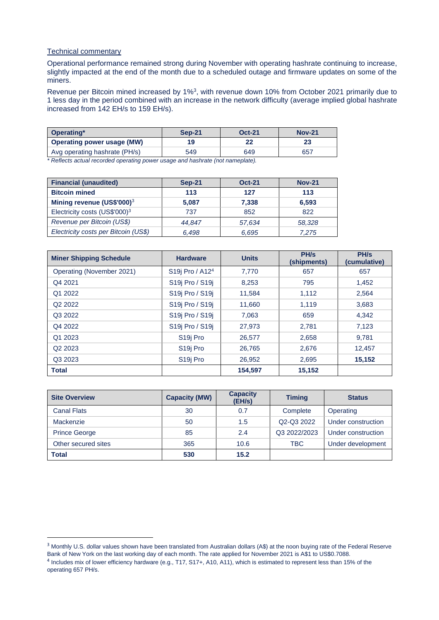# Technical commentary

Operational performance remained strong during November with operating hashrate continuing to increase, slightly impacted at the end of the month due to a scheduled outage and firmware updates on some of the miners.

Revenue per Bitcoin mined increased by 1%<sup>3</sup>, with revenue down 10% from October 2021 primarily due to 1 less day in the period combined with an increase in the network difficulty (average implied global hashrate increased from 142 EH/s to 159 EH/s).

| Operating*                        | <b>Sep-21</b> | <b>Oct-21</b> | <b>Nov-21</b> |
|-----------------------------------|---------------|---------------|---------------|
| <b>Operating power usage (MW)</b> | 19            | 22            | 23            |
| Avg operating hashrate (PH/s)     | 549           | 649           | 657           |

*\* Reflects actual recorded operating power usage and hashrate (not nameplate).*

| <b>Financial (unaudited)</b>              | <b>Sep-21</b> | <b>Oct-21</b> | <b>Nov-21</b> |
|-------------------------------------------|---------------|---------------|---------------|
| <b>Bitcoin mined</b>                      | 113           | 127           | 113           |
| Mining revenue (US\$'000) <sup>3</sup>    | 5.087         | 7,338         | 6,593         |
| Electricity costs (US\$'000) <sup>3</sup> | 737           | 852           | 822           |
| Revenue per Bitcoin (US\$)                | 44.847        | 57,634        | 58,328        |
| Electricity costs per Bitcoin (US\$)      | 6.498         | 6,695         | 7.275         |

| <b>Miner Shipping Schedule</b> | <b>Hardware</b>                       | <b>Units</b> | PH/s<br>(shipments) | PH/s<br>(cumulative) |
|--------------------------------|---------------------------------------|--------------|---------------------|----------------------|
| Operating (November 2021)      | S19j Pro / A12 <sup>4</sup>           | 7.770        | 657                 | 657                  |
| Q4 2021                        | S19j Pro / S19j                       | 8,253        | 795                 | 1,452                |
| Q1 2022                        | S19j Pro / S19j                       | 11,584       | 1,112               | 2,564                |
| Q <sub>2</sub> 2022            | S19j Pro / S19j                       | 11,660       | 1,119               | 3,683                |
| Q3 2022                        | S <sub>19</sub> Pro / S <sub>19</sub> | 7,063        | 659                 | 4,342                |
| Q4 2022                        | S <sub>19</sub> Pro / S <sub>19</sub> | 27,973       | 2,781               | 7,123                |
| Q1 2023                        | S <sub>19</sub> Pro                   | 26,577       | 2,658               | 9.781                |
| Q <sub>2</sub> 2023            | S <sub>19</sub> Pro                   | 26,765       | 2,676               | 12,457               |
| Q3 2023                        | S <sub>19</sub> Pro                   | 26,952       | 2,695               | 15,152               |
| <b>Total</b>                   |                                       | 154,597      | 15,152              |                      |

| <b>Site Overview</b> | <b>Capacity (MW)</b> | <b>Capacity</b><br>(EH/s) | <b>Timing</b> | <b>Status</b>      |
|----------------------|----------------------|---------------------------|---------------|--------------------|
| <b>Canal Flats</b>   | 30                   | 0.7                       | Complete      | Operating          |
| Mackenzie            | 50                   | 1.5                       | Q2-Q3 2022    | Under construction |
| <b>Prince George</b> | 85                   | 2.4                       | Q3 2022/2023  | Under construction |
| Other secured sites  | 365                  | 10.6                      | <b>TBC</b>    | Under development  |
| <b>Total</b>         | 530                  | 15.2                      |               |                    |

<sup>&</sup>lt;sup>3</sup> Monthly U.S. dollar values shown have been translated from Australian dollars (A\$) at the noon buying rate of the Federal Reserve Bank of New York on the last working day of each month. The rate applied for November 2021 is A\$1 to US\$0.7088. <sup>4</sup> Includes mix of lower efficiency hardware (e.g., T17, S17+, A10, A11), which is estimated to represent less than 15% of the operating 657 PH/s.